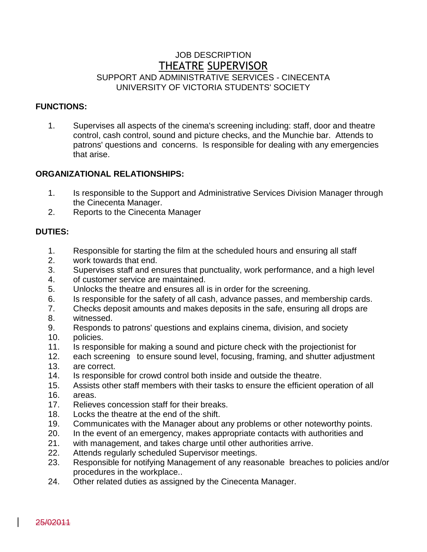# JOB DESCRIPTION THEATRE SUPERVISOR SUPPORT AND ADMINISTRATIVE SERVICES - CINECENTA UNIVERSITY OF VICTORIA STUDENTS' SOCIETY

#### **FUNCTIONS:**

1. Supervises all aspects of the cinema's screening including: staff, door and theatre control, cash control, sound and picture checks, and the Munchie bar. Attends to patrons' questions and concerns. Is responsible for dealing with any emergencies that arise.

## **ORGANIZATIONAL RELATIONSHIPS:**

- 1. Is responsible to the Support and Administrative Services Division Manager through the Cinecenta Manager.
- 2. Reports to the Cinecenta Manager

## **DUTIES:**

- 1. Responsible for starting the film at the scheduled hours and ensuring all staff
- 2. work towards that end.
- 3. Supervises staff and ensures that punctuality, work performance, and a high level
- 4. of customer service are maintained.
- 5. Unlocks the theatre and ensures all is in order for the screening.
- 6. Is responsible for the safety of all cash, advance passes, and membership cards.
- 7. Checks deposit amounts and makes deposits in the safe, ensuring all drops are
- 8. witnessed.
- 9. Responds to patrons' questions and explains cinema, division, and society
- 10. policies.
- 11. Is responsible for making a sound and picture check with the projectionist for
- 12. each screening to ensure sound level, focusing, framing, and shutter adjustment 13. are correct.
- 14. Is responsible for crowd control both inside and outside the theatre.
- 15. Assists other staff members with their tasks to ensure the efficient operation of all
- 16. areas.
- 17. Relieves concession staff for their breaks.
- 18. Locks the theatre at the end of the shift.
- 19. Communicates with the Manager about any problems or other noteworthy points.
- 20. In the event of an emergency, makes appropriate contacts with authorities and
- 21. with management, and takes charge until other authorities arrive.
- 22. Attends regularly scheduled Supervisor meetings.
- 23. Responsible for notifying Management of any reasonable breaches to policies and/or procedures in the workplace..
- 24. Other related duties as assigned by the Cinecenta Manager.